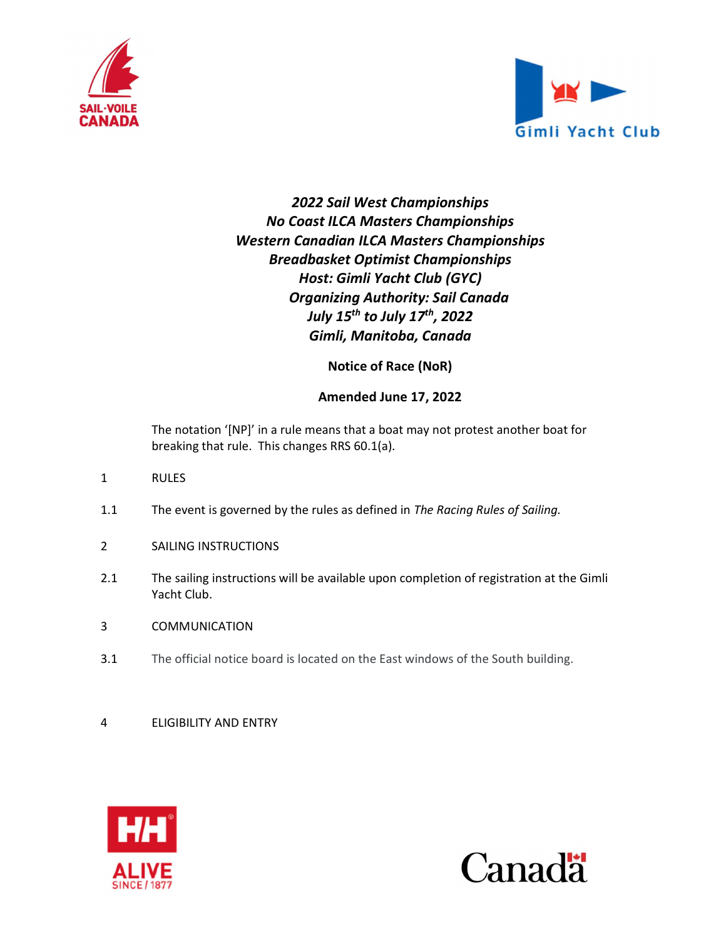



# 2022 Sail West Championships No Coast ILCA Masters Championships Western Canadian ILCA Masters Championships Breadbasket Optimist Championships Host: Gimli Yacht Club (GYC) Organizing Authority: Sail Canada July 15<sup>th</sup> to July 17<sup>th</sup>, 2022 Gimli, Manitoba, Canada

Notice of Race (NoR)

## Amended June 17, 2022

The notation '[NP]' in a rule means that a boat may not protest another boat for breaking that rule. This changes RRS 60.1(a).

- 1 RULES
- 1.1 The event is governed by the rules as defined in The Racing Rules of Sailing.
- 2 SAILING INSTRUCTIONS
- 2.1 The sailing instructions will be available upon completion of registration at the Gimli Yacht Club.
- 3 COMMUNICATION
- 3.1 The official notice board is located on the East windows of the South building.
- 4 ELIGIBILITY AND ENTRY



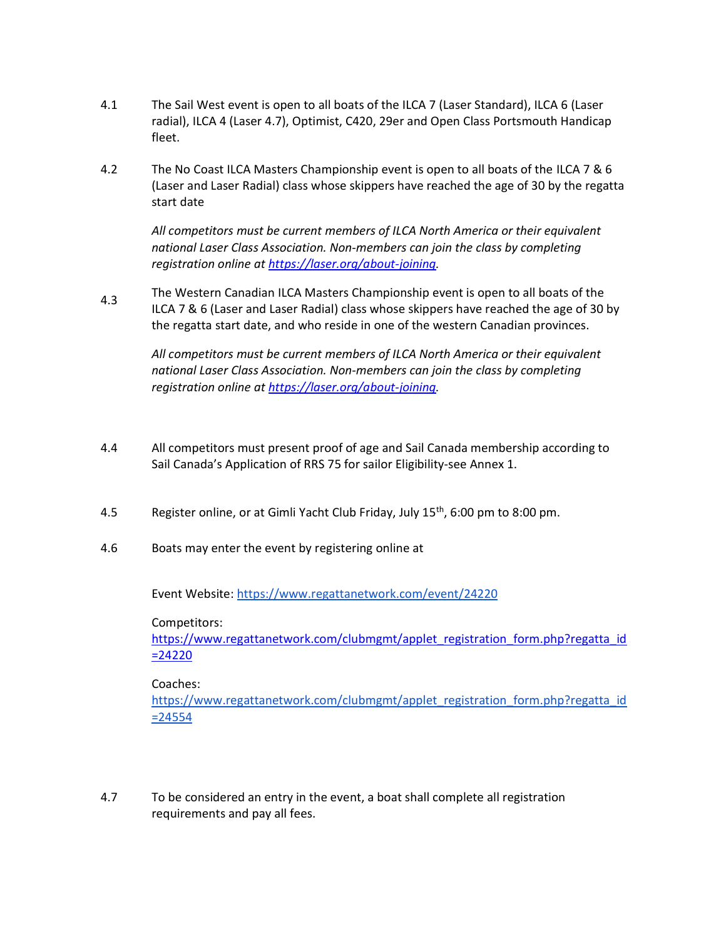- 4.1 The Sail West event is open to all boats of the ILCA 7 (Laser Standard), ILCA 6 (Laser radial), ILCA 4 (Laser 4.7), Optimist, C420, 29er and Open Class Portsmouth Handicap fleet.
- 4.2 The No Coast ILCA Masters Championship event is open to all boats of the ILCA 7 & 6 (Laser and Laser Radial) class whose skippers have reached the age of 30 by the regatta start date

All competitors must be current members of ILCA North America or their equivalent national Laser Class Association. Non-members can join the class by completing registration online at https://laser.org/about-joining.

4.3 The Western Canadian ILCA Masters Championship event is open to all boats of the ILCA 7 & 6 (Laser and Laser Radial) class whose skippers have reached the age of 30 by the regatta start date, and who reside in one of the western Canadian provinces.

All competitors must be current members of ILCA North America or their equivalent national Laser Class Association. Non-members can join the class by completing registration online at https://laser.org/about-joining.

- 4.4 All competitors must present proof of age and Sail Canada membership according to Sail Canada's Application of RRS 75 for sailor Eligibility-see Annex 1.
- 4.5 Register online, or at Gimli Yacht Club Friday, July 15th, 6:00 pm to 8:00 pm.
- 4.6 Boats may enter the event by registering online at

Event Website: https://www.regattanetwork.com/event/24220

Competitors:

https://www.regattanetwork.com/clubmgmt/applet\_registration\_form.php?regatta\_id =24220

Coaches:

https://www.regattanetwork.com/clubmgmt/applet\_registration\_form.php?regatta\_id =24554

4.7 To be considered an entry in the event, a boat shall complete all registration requirements and pay all fees.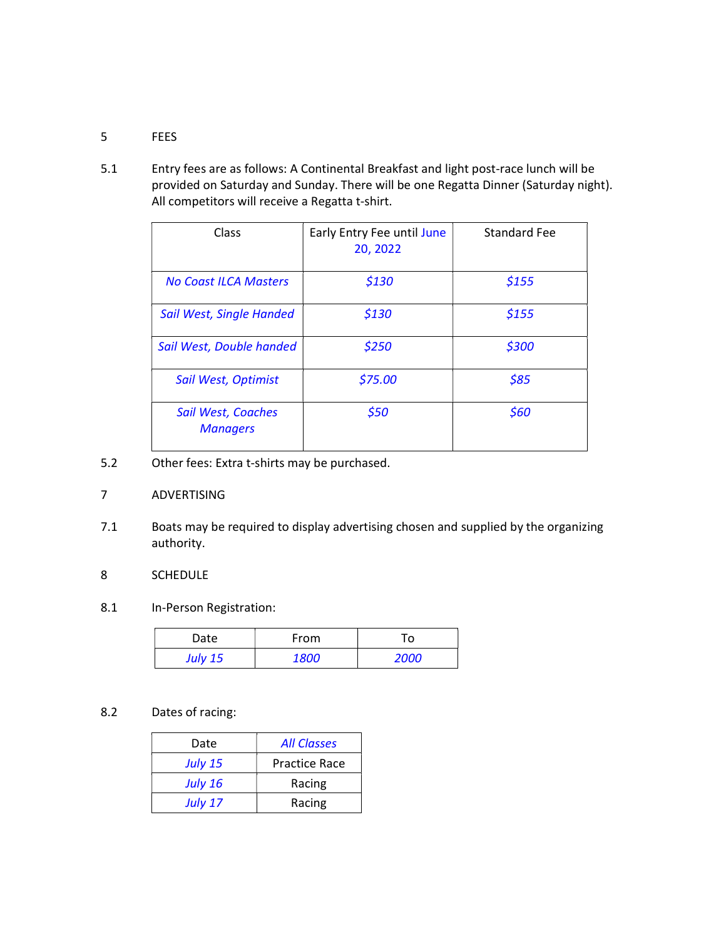### 5 FEES

5.1 Entry fees are as follows: A Continental Breakfast and light post-race lunch will be provided on Saturday and Sunday. There will be one Regatta Dinner (Saturday night). All competitors will receive a Regatta t-shirt.

| Class                                 | Early Entry Fee until June<br>20, 2022 | <b>Standard Fee</b> |
|---------------------------------------|----------------------------------------|---------------------|
| <b>No Coast ILCA Masters</b>          | \$130                                  | \$155               |
| Sail West, Single Handed              | \$130                                  | \$155               |
| Sail West, Double handed              | \$250                                  | \$300               |
| Sail West, Optimist                   | \$75.00                                | \$85                |
| Sail West, Coaches<br><b>Managers</b> | \$50                                   | \$60                |

5.2 Other fees: Extra t-shirts may be purchased.

### 7 ADVERTISING

7.1 Boats may be required to display advertising chosen and supplied by the organizing authority.

### 8 SCHEDULE

8.1 In-Person Registration:

| Date           | From        | Го   |
|----------------|-------------|------|
| <b>July 15</b> | <i>1800</i> | 2000 |

### 8.2 Dates of racing:

| Date           | <b>All Classes</b>   |  |
|----------------|----------------------|--|
| <b>July 15</b> | <b>Practice Race</b> |  |
| <b>July 16</b> | Racing               |  |
| <b>July 17</b> | Racing               |  |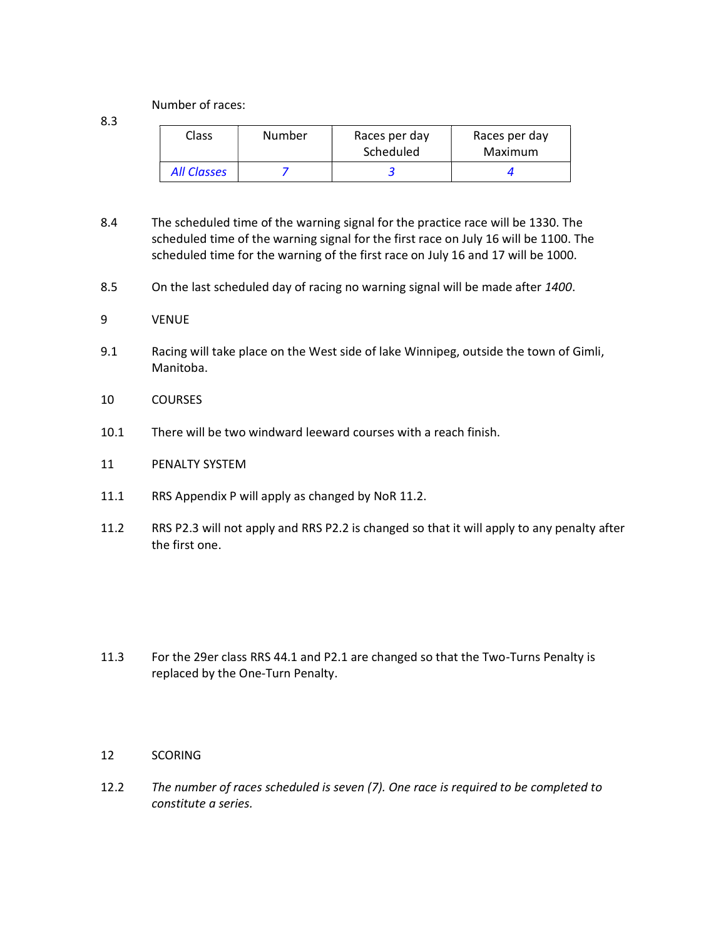Number of races:

8.3

| Class       | Number | Races per day<br>Scheduled | Races per day<br>Maximum |
|-------------|--------|----------------------------|--------------------------|
| All Classes |        |                            |                          |

- 8.4 The scheduled time of the warning signal for the practice race will be 1330. The scheduled time of the warning signal for the first race on July 16 will be 1100. The scheduled time for the warning of the first race on July 16 and 17 will be 1000.
- 8.5 On the last scheduled day of racing no warning signal will be made after 1400.

#### 9 VENUE

- 9.1 Racing will take place on the West side of lake Winnipeg, outside the town of Gimli, Manitoba.
- 10 COURSES
- 10.1 There will be two windward leeward courses with a reach finish.
- 11 PENALTY SYSTEM
- 11.1 RRS Appendix P will apply as changed by NoR 11.2.
- 11.2 RRS P2.3 will not apply and RRS P2.2 is changed so that it will apply to any penalty after the first one.

11.3 For the 29er class RRS 44.1 and P2.1 are changed so that the Two-Turns Penalty is replaced by the One-Turn Penalty.

#### 12 SCORING

12.2 The number of races scheduled is seven (7). One race is required to be completed to constitute a series.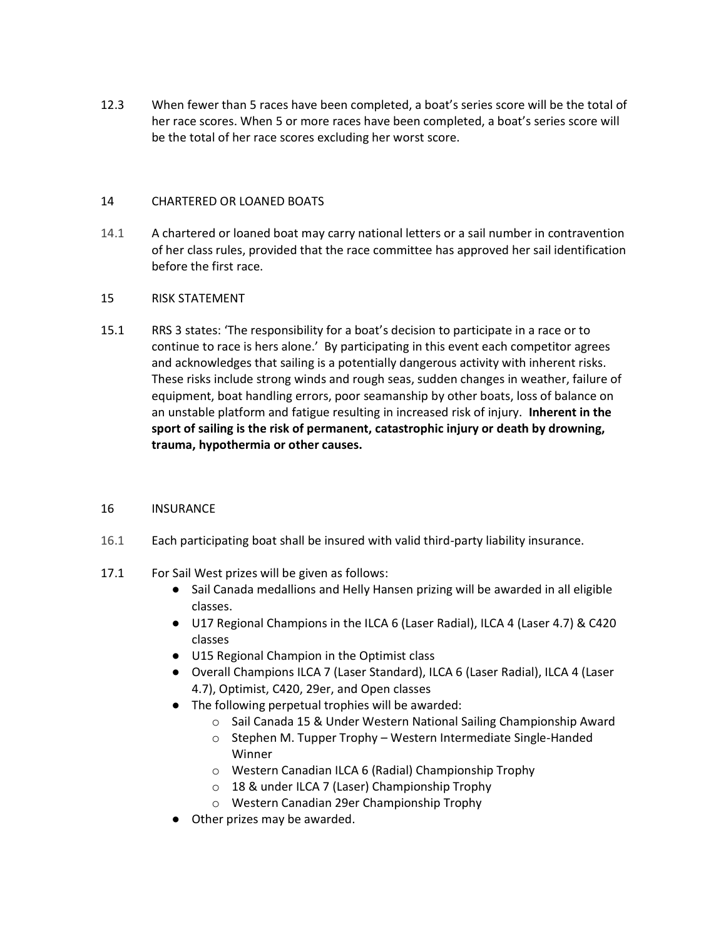12.3 When fewer than 5 races have been completed, a boat's series score will be the total of her race scores. When 5 or more races have been completed, a boat's series score will be the total of her race scores excluding her worst score.

### 14 CHARTERED OR LOANED BOATS

14.1 A chartered or loaned boat may carry national letters or a sail number in contravention of her class rules, provided that the race committee has approved her sail identification before the first race.

### 15 RISK STATEMENT

15.1 RRS 3 states: 'The responsibility for a boat's decision to participate in a race or to continue to race is hers alone.' By participating in this event each competitor agrees and acknowledges that sailing is a potentially dangerous activity with inherent risks. These risks include strong winds and rough seas, sudden changes in weather, failure of equipment, boat handling errors, poor seamanship by other boats, loss of balance on an unstable platform and fatigue resulting in increased risk of injury. Inherent in the sport of sailing is the risk of permanent, catastrophic injury or death by drowning, trauma, hypothermia or other causes.

### 16 INSURANCE

- 16.1 Each participating boat shall be insured with valid third-party liability insurance.
- 17.1 For Sail West prizes will be given as follows:
	- Sail Canada medallions and Helly Hansen prizing will be awarded in all eligible classes.
	- U17 Regional Champions in the ILCA 6 (Laser Radial), ILCA 4 (Laser 4.7) & C420 classes
	- U15 Regional Champion in the Optimist class
	- Overall Champions ILCA 7 (Laser Standard), ILCA 6 (Laser Radial), ILCA 4 (Laser 4.7), Optimist, C420, 29er, and Open classes
	- The following perpetual trophies will be awarded:
		- o Sail Canada 15 & Under Western National Sailing Championship Award
		- o Stephen M. Tupper Trophy Western Intermediate Single-Handed Winner
		- o Western Canadian ILCA 6 (Radial) Championship Trophy
		- o 18 & under ILCA 7 (Laser) Championship Trophy
		- o Western Canadian 29er Championship Trophy
	- Other prizes may be awarded.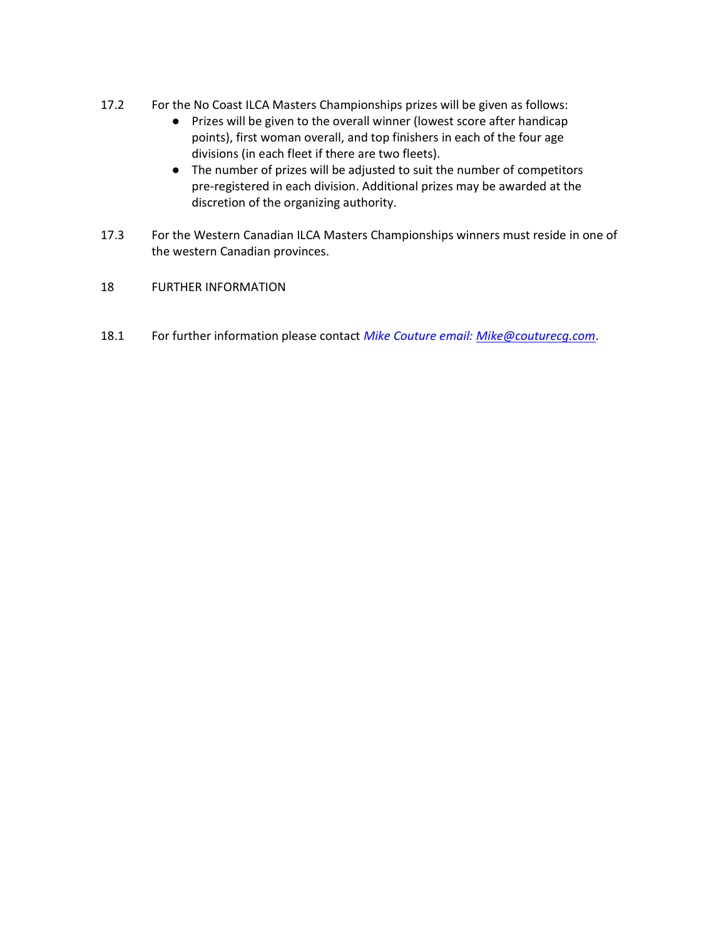- 17.2 For the No Coast ILCA Masters Championships prizes will be given as follows:
	- Prizes will be given to the overall winner (lowest score after handicap points), first woman overall, and top finishers in each of the four age divisions (in each fleet if there are two fleets).
	- The number of prizes will be adjusted to suit the number of competitors pre-registered in each division. Additional prizes may be awarded at the discretion of the organizing authority.
- 17.3 For the Western Canadian ILCA Masters Championships winners must reside in one of the western Canadian provinces.
- 18 FURTHER INFORMATION
- 18.1 For further information please contact Mike Couture email: Mike@couturecg.com.